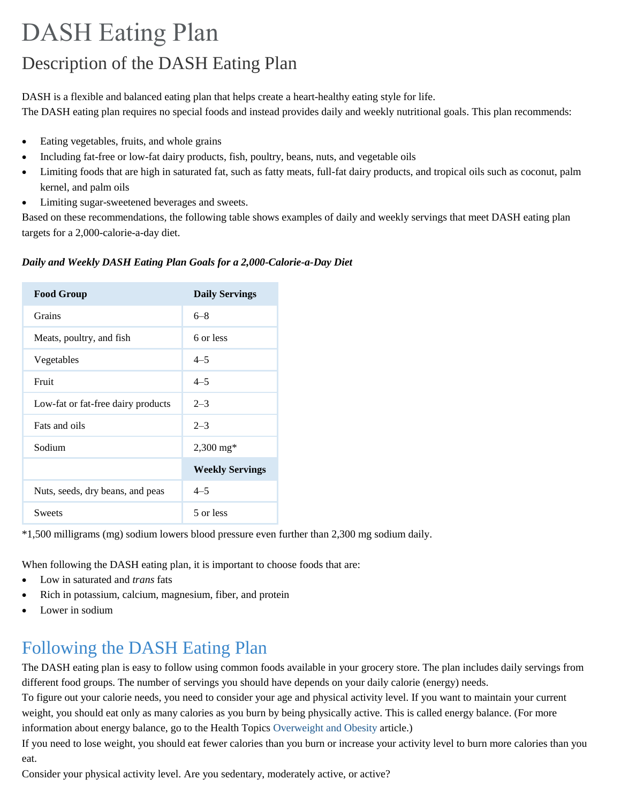# DASH Eating Plan Description of the DASH Eating Plan

DASH is a flexible and balanced eating plan that helps create a heart-healthy eating style for life. The DASH eating plan requires no special foods and instead provides daily and weekly nutritional goals. This plan recommends:

- Eating vegetables, fruits, and whole grains
- Including fat-free or low-fat dairy products, fish, poultry, beans, nuts, and vegetable oils
- Limiting foods that are high in saturated fat, such as fatty meats, full-fat dairy products, and tropical oils such as coconut, palm kernel, and palm oils
- Limiting sugar-sweetened beverages and sweets.

Based on these recommendations, the following table shows examples of daily and weekly servings that meet DASH eating plan targets for a 2,000-calorie-a-day diet.

#### *Daily and Weekly DASH Eating Plan Goals for a 2,000-Calorie-a-Day Diet*

| <b>Food Group</b>                  | <b>Daily Servings</b>  |
|------------------------------------|------------------------|
| Grains                             | $6 - 8$                |
| Meats, poultry, and fish           | 6 or less              |
| Vegetables                         | $4 - 5$                |
| Fruit                              | $4 - 5$                |
| Low-fat or fat-free dairy products | $2 - 3$                |
| Fats and oils                      | $2 - 3$                |
| Sodium                             | $2,300 \text{ mg*}$    |
|                                    | <b>Weekly Servings</b> |
| Nuts, seeds, dry beans, and peas   | $4 - 5$                |
| <b>Sweets</b>                      | 5 or less              |

\*1,500 milligrams (mg) sodium lowers blood pressure even further than 2,300 mg sodium daily.

When following the DASH eating plan, it is important to choose foods that are:

- Low in saturated and *trans* fats
- Rich in potassium, calcium, magnesium, fiber, and protein
- Lower in sodium

## Following the DASH Eating Plan

The DASH eating plan is easy to follow using common foods available in your grocery store. The plan includes daily servings from different food groups. The number of servings you should have depends on your daily calorie (energy) needs.

To figure out your calorie needs, you need to consider your age and physical activity level. If you want to maintain your current weight, you should eat only as many calories as you burn by being physically active. This is called energy balance. (For more information about energy balance, go to the Health Topics [Overweight and Obesity](https://wcms.nhlbi.nih.gov/health/health-topics/topics/obe/) article.)

If you need to lose weight, you should eat fewer calories than you burn or increase your activity level to burn more calories than you eat.

Consider your physical activity level. Are you sedentary, moderately active, or active?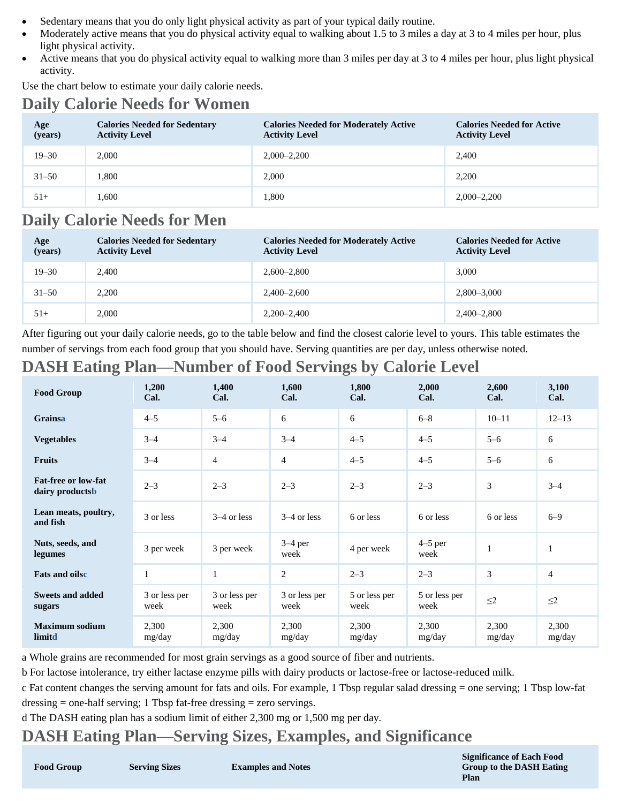- Sedentary means that you do only light physical activity as part of your typical daily routine.
- Moderately active means that you do physical activity equal to walking about 1.5 to 3 miles a day at 3 to 4 miles per hour, plus light physical activity.
- Active means that you do physical activity equal to walking more than 3 miles per day at 3 to 4 miles per hour, plus light physical activity.

Use the chart below to estimate your daily calorie needs.

### **Daily Calorie Needs for Women**

| Age<br>(years) | <b>Calories Needed for Sedentary</b><br><b>Activity Level</b> | <b>Calories Needed for Moderately Active</b><br><b>Activity Level</b> | <b>Calories Needed for Active</b><br><b>Activity Level</b> |
|----------------|---------------------------------------------------------------|-----------------------------------------------------------------------|------------------------------------------------------------|
| $19 - 30$      | 2,000                                                         | $2,000 - 2,200$                                                       | 2,400                                                      |
| $31 - 50$      | 1.800                                                         | 2,000                                                                 | 2.200                                                      |
| $51+$          | 1,600                                                         | 1,800                                                                 | $2,000 - 2,200$                                            |

### **Daily Calorie Needs for Men**

| Age<br>(years) | <b>Calories Needed for Sedentary</b><br><b>Activity Level</b> | <b>Calories Needed for Moderately Active</b><br><b>Activity Level</b> | <b>Calories Needed for Active</b><br><b>Activity Level</b> |
|----------------|---------------------------------------------------------------|-----------------------------------------------------------------------|------------------------------------------------------------|
| $19 - 30$      | 2.400                                                         | $2,600 - 2,800$                                                       | 3,000                                                      |
| $31 - 50$      | 2,200                                                         | $2,400 - 2,600$                                                       | $2,800 - 3,000$                                            |
| $51+$          | 2,000                                                         | $2,200 - 2,400$                                                       | 2,400–2,800                                                |

After figuring out your daily calorie needs, go to the table below and find the closest calorie level to yours. This table estimates the number of servings from each food group that you should have. Serving quantities are per day, unless otherwise noted.

#### **DASH Eating Plan—Number of Food Servings by Calorie Level**

| <b>Food Group</b>                      | 1,200<br>Cal.         | 1,400<br>Cal.         | 1,600<br>Cal.         | 1,800<br>Cal.         | 2,000<br>Cal.         | 2,600<br>Cal.   | 3,100<br>Cal.   |
|----------------------------------------|-----------------------|-----------------------|-----------------------|-----------------------|-----------------------|-----------------|-----------------|
| Grainsa                                | $4 - 5$               | $5 - 6$               | 6                     | 6                     | $6 - 8$               | $10 - 11$       | $12 - 13$       |
| <b>Vegetables</b>                      | $3 - 4$               | $3 - 4$               | $3 - 4$               | $4 - 5$               | $4 - 5$               | $5 - 6$         | 6               |
| <b>Fruits</b>                          | $3 - 4$               | $\overline{4}$        | $\overline{4}$        | $4 - 5$               | $4 - 5$               | $5 - 6$         | 6               |
| Fat-free or low-fat<br>dairy productsb | $2 - 3$               | $2 - 3$               | $2 - 3$               | $2 - 3$               | $2 - 3$               | 3               | $3 - 4$         |
| Lean meats, poultry,<br>and fish       | 3 or less             | $3-4$ or less         | $3-4$ or less         | 6 or less             | 6 or less             | 6 or less       | $6 - 9$         |
| Nuts, seeds, and<br>legumes            | 3 per week            | 3 per week            | $3-4$ per<br>week     | 4 per week            | $4-5$ per<br>week     | $\mathbf{1}$    | $\mathbf{1}$    |
| <b>Fats and oilse</b>                  | 1                     | $\mathbf{1}$          | 2                     | $2 - 3$               | $2 - 3$               | 3               | $\overline{4}$  |
| <b>Sweets and added</b><br>sugars      | 3 or less per<br>week | 3 or less per<br>week | 3 or less per<br>week | 5 or less per<br>week | 5 or less per<br>week | $\leq$ 2        | $\leq$ 2        |
| <b>Maximum sodium</b><br>limitd        | 2,300<br>mg/day       | 2,300<br>mg/day       | 2,300<br>mg/day       | 2,300<br>mg/day       | 2,300<br>mg/day       | 2,300<br>mg/day | 2,300<br>mg/day |

a Whole grains are recommended for most grain servings as a good source of fiber and nutrients.

b For lactose intolerance, try either lactase enzyme pills with dairy products or lactose-free or lactose-reduced milk.

c Fat content changes the serving amount for fats and oils. For example, 1 Tbsp regular salad dressing = one serving; 1 Tbsp low-fat dressing = one-half serving; 1 Tbsp fat-free dressing = zero servings.

d The DASH eating plan has a sodium limit of either 2,300 mg or 1,500 mg per day.

#### **DASH Eating Plan—Serving Sizes, Examples, and Significance**

**Food Group Serving Sizes Examples and Notes**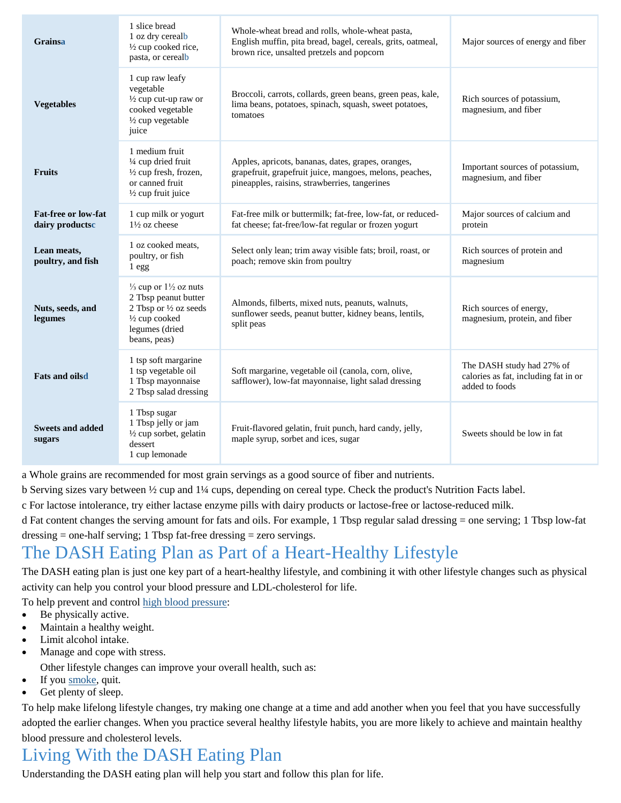| <b>Grainsa</b>                         | 1 slice bread<br>1 oz dry cerealb<br>$\frac{1}{2}$ cup cooked rice,<br>pasta, or cerealb                                                          | Whole-wheat bread and rolls, whole-wheat pasta,<br>English muffin, pita bread, bagel, cereals, grits, oatmeal,<br>brown rice, unsalted pretzels and popcorn    | Major sources of energy and fiber                                                   |
|----------------------------------------|---------------------------------------------------------------------------------------------------------------------------------------------------|----------------------------------------------------------------------------------------------------------------------------------------------------------------|-------------------------------------------------------------------------------------|
| <b>Vegetables</b>                      | 1 cup raw leafy<br>vegetable<br>1/2 cup cut-up raw or<br>cooked vegetable<br>1/2 cup vegetable<br>juice                                           | Broccoli, carrots, collards, green beans, green peas, kale,<br>lima beans, potatoes, spinach, squash, sweet potatoes,<br>tomatoes                              | Rich sources of potassium,<br>magnesium, and fiber                                  |
| <b>Fruits</b>                          | 1 medium fruit<br>1/4 cup dried fruit<br>1/2 cup fresh, frozen,<br>or canned fruit<br>1/2 cup fruit juice                                         | Apples, apricots, bananas, dates, grapes, oranges,<br>grapefruit, grapefruit juice, mangoes, melons, peaches,<br>pineapples, raisins, strawberries, tangerines | Important sources of potassium,<br>magnesium, and fiber                             |
| Fat-free or low-fat<br>dairy productsc | 1 cup milk or yogurt<br>$1\frac{1}{2}$ oz cheese                                                                                                  | Fat-free milk or buttermilk; fat-free, low-fat, or reduced-<br>fat cheese; fat-free/low-fat regular or frozen yogurt                                           | Major sources of calcium and<br>protein                                             |
| Lean meats,<br>poultry, and fish       | 1 oz cooked meats,<br>poultry, or fish<br>1egg                                                                                                    | Select only lean; trim away visible fats; broil, roast, or<br>poach; remove skin from poultry                                                                  | Rich sources of protein and<br>magnesium                                            |
| Nuts, seeds, and<br>legumes            | $\frac{1}{3}$ cup or $1\frac{1}{2}$ oz nuts<br>2 Tbsp peanut butter<br>2 Tbsp or 1/2 oz seeds<br>1/2 cup cooked<br>legumes (dried<br>beans, peas) | Almonds, filberts, mixed nuts, peanuts, walnuts,<br>sunflower seeds, peanut butter, kidney beans, lentils,<br>split peas                                       | Rich sources of energy,<br>magnesium, protein, and fiber                            |
| <b>Fats and oilsd</b>                  | 1 tsp soft margarine<br>1 tsp vegetable oil<br>1 Tbsp mayonnaise<br>2 Tbsp salad dressing                                                         | Soft margarine, vegetable oil (canola, corn, olive,<br>safflower), low-fat mayonnaise, light salad dressing                                                    | The DASH study had 27% of<br>calories as fat, including fat in or<br>added to foods |
| <b>Sweets and added</b><br>sugars      | 1 Tbsp sugar<br>1 Tbsp jelly or jam<br>1/2 cup sorbet, gelatin<br>dessert<br>1 cup lemonade                                                       | Fruit-flavored gelatin, fruit punch, hard candy, jelly,<br>maple syrup, sorbet and ices, sugar                                                                 | Sweets should be low in fat                                                         |

a Whole grains are recommended for most grain servings as a good source of fiber and nutrients.

b Serving sizes vary between ½ cup and 1¼ cups, depending on cereal type. Check the product's Nutrition Facts label.

c For lactose intolerance, try either lactase enzyme pills with dairy products or lactose-free or lactose-reduced milk.

d Fat content changes the serving amount for fats and oils. For example, 1 Tbsp regular salad dressing = one serving; 1 Tbsp low-fat dressing  $=$  one-half serving; 1 Tbsp fat-free dressing  $=$  zero servings.

### The DASH Eating Plan as Part of a Heart-Healthy Lifestyle

The DASH eating plan is just one key part of a heart-healthy lifestyle, and combining it with other lifestyle changes such as physical activity can help you control your blood pressure and LDL-cholesterol for life.

To help prevent and control [high blood pressure:](https://www.nhlbi.nih.gov/health/health-topics/topics/hbp)

- Be physically active.
- Maintain a healthy weight.
- Limit alcohol intake.
- Manage and cope with stress.
- Other lifestyle changes can improve your overall health, such as:
- If you [smoke,](https://www.nhlbi.nih.gov/health/health-topics/topics/smo) quit.
- Get plenty of sleep.

To help make lifelong lifestyle changes, try making one change at a time and add another when you feel that you have successfully adopted the earlier changes. When you practice several healthy lifestyle habits, you are more likely to achieve and maintain healthy blood pressure and cholesterol levels.

## Living With the DASH Eating Plan

Understanding the DASH eating plan will help you start and follow this plan for life.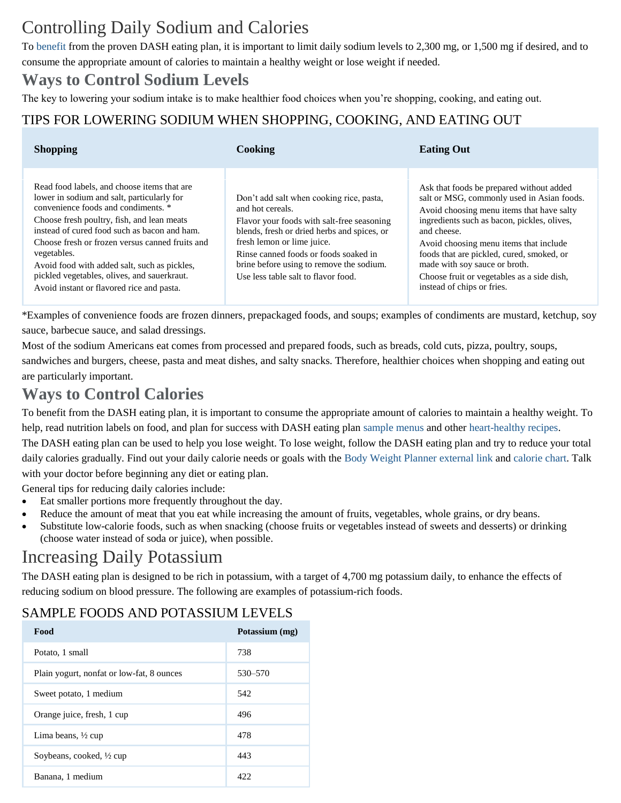## Controlling Daily Sodium and Calories

To [benefit](https://www.nhlbi.nih.gov/health/health-topics/topics/dash/benefits#Benefits) from the proven DASH eating plan, it is important to limit daily sodium levels to 2,300 mg, or 1,500 mg if desired, and to consume the appropriate amount of calories to maintain a healthy weight or lose weight if needed.

### **Ways to Control Sodium Levels**

The key to lowering your sodium intake is to make healthier food choices when you're shopping, cooking, and eating out.

#### TIPS FOR LOWERING SODIUM WHEN SHOPPING, COOKING, AND EATING OUT

| <b>Shopping</b>                                                                                                                                                                                                                                                                                                                                                                                                                              | Cooking                                                                                                                                                                                                                                                                                                             | <b>Eating Out</b>                                                                                                                                                                                                                                                                                                                                                                                     |
|----------------------------------------------------------------------------------------------------------------------------------------------------------------------------------------------------------------------------------------------------------------------------------------------------------------------------------------------------------------------------------------------------------------------------------------------|---------------------------------------------------------------------------------------------------------------------------------------------------------------------------------------------------------------------------------------------------------------------------------------------------------------------|-------------------------------------------------------------------------------------------------------------------------------------------------------------------------------------------------------------------------------------------------------------------------------------------------------------------------------------------------------------------------------------------------------|
| Read food labels, and choose items that are<br>lower in sodium and salt, particularly for<br>convenience foods and condiments. *<br>Choose fresh poultry, fish, and lean meats<br>instead of cured food such as bacon and ham.<br>Choose fresh or frozen versus canned fruits and<br>vegetables.<br>Avoid food with added salt, such as pickles,<br>pickled vegetables, olives, and sauerkraut.<br>Avoid instant or flavored rice and pasta. | Don't add salt when cooking rice, pasta,<br>and hot cereals.<br>Flavor your foods with salt-free seasoning<br>blends, fresh or dried herbs and spices, or<br>fresh lemon or lime juice.<br>Rinse canned foods or foods soaked in<br>brine before using to remove the sodium.<br>Use less table salt to flavor food. | Ask that foods be prepared without added<br>salt or MSG, commonly used in Asian foods.<br>Avoid choosing menu items that have salty<br>ingredients such as bacon, pickles, olives,<br>and cheese.<br>Avoid choosing menu items that include<br>foods that are pickled, cured, smoked, or<br>made with soy sauce or broth.<br>Choose fruit or vegetables as a side dish,<br>instead of chips or fries. |

\*Examples of convenience foods are frozen dinners, prepackaged foods, and soups; examples of condiments are mustard, ketchup, soy sauce, barbecue sauce, and salad dressings.

Most of the sodium Americans eat comes from processed and prepared foods, such as breads, cold cuts, pizza, poultry, soups, sandwiches and burgers, cheese, pasta and meat dishes, and salty snacks. Therefore, healthier choices when shopping and eating out are particularly important.

### **Ways to Control Calories**

To benefit from the DASH eating plan, it is important to consume the appropriate amount of calories to maintain a healthy weight. To help, read nutrition labels on food, and plan for success with DASH eating plan [sample menus](http://www.nhlbi.nih.gov/files/docs/public/heart/dash_brief.pdf) and other [heart-healthy recipes.](https://healthyeating.nhlbi.nih.gov/default.aspx)

The DASH eating plan can be used to help you lose weight. To lose weight, follow the DASH eating plan and try to reduce your total daily calories gradually. Find out your daily calorie needs or goals with the [Body Weight Planner](https://www.supertracker.usda.gov/bwp/index.html) [external link](https://www.nhlbi.nih.gov/health-topics/dash-eating-plan) and [calorie chart.](https://www.nhlbi.nih.gov/files/docs/public/heart/dash_brief.pdf) Talk with your doctor before beginning any diet or eating plan.

General tips for reducing daily calories include:

- Eat smaller portions more frequently throughout the day.
- Reduce the amount of meat that you eat while increasing the amount of fruits, vegetables, whole grains, or dry beans.
- Substitute low-calorie foods, such as when snacking (choose fruits or vegetables instead of sweets and desserts) or drinking (choose water instead of soda or juice), when possible.

### Increasing Daily Potassium

The DASH eating plan is designed to be rich in potassium, with a target of 4,700 mg potassium daily, to enhance the effects of reducing sodium on blood pressure. The following are examples of potassium-rich foods.

#### SAMPLE FOODS AND POTASSIUM LEVELS

| Food                                      | Potassium (mg) |
|-------------------------------------------|----------------|
| Potato, 1 small                           | 738            |
| Plain yogurt, nonfat or low-fat, 8 ounces | 530-570        |
| Sweet potato, 1 medium                    | 542            |
| Orange juice, fresh, 1 cup                | 496            |
| Lima beans, $\frac{1}{2}$ cup             | 478            |
| Soybeans, cooked, 1/2 cup                 | 443            |
| Banana, 1 medium                          | 422            |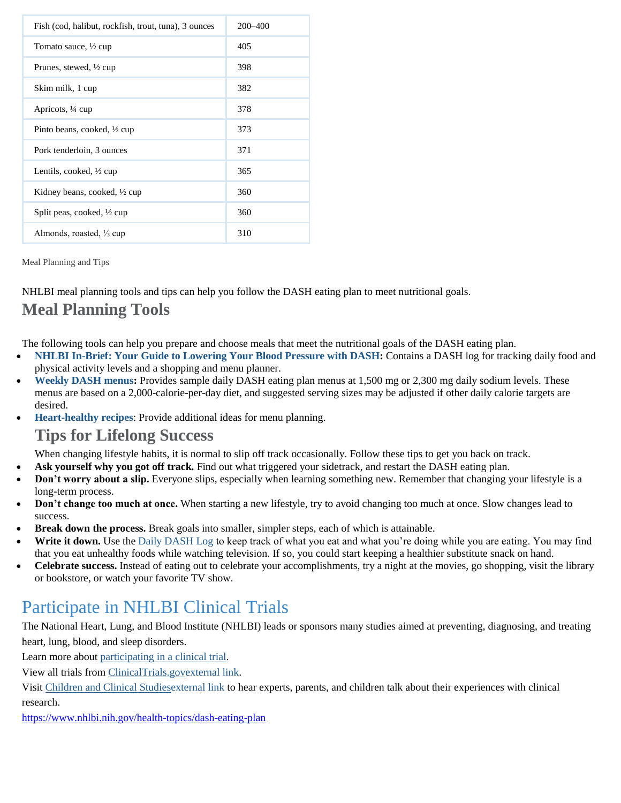| Fish (cod, halibut, rockfish, trout, tuna), 3 ounces | 200-400 |
|------------------------------------------------------|---------|
| Tomato sauce, ½ cup                                  | 405     |
| Prunes, stewed, $\frac{1}{2}$ cup                    | 398     |
| Skim milk, 1 cup                                     | 382     |
| Apricots, 1/4 cup                                    | 378     |
| Pinto beans, cooked, 1/2 cup                         | 373     |
| Pork tenderloin, 3 ounces                            | 371     |
| Lentils, cooked, $\frac{1}{2}$ cup                   | 365     |
| Kidney beans, cooked, $\frac{1}{2}$ cup              | 360     |
| Split peas, cooked, 1/2 cup                          | 360     |
| Almonds, roasted, $\frac{1}{3}$ cup                  | 310     |

Meal Planning and Tips

NHLBI meal planning tools and tips can help you follow the DASH eating plan to meet nutritional goals.

### **Meal Planning Tools**

The following tools can help you prepare and choose meals that meet the nutritional goals of the DASH eating plan.

- **[NHLBI In-Brief: Your Guide to Lowering Your Blood Pressure with DASH:](https://www.nhlbi.nih.gov/files/docs/public/heart/dash_brief.pdf)** Contains a DASH log for tracking daily food and physical activity levels and a shopping and menu planner.
- **[Weekly DASH menus:](http://www.nhlbi.nih.gov/health/resources/heart/hbp-dash-week-dash-html)** Provides sample daily DASH eating plan menus at 1,500 mg or 2,300 mg daily sodium levels. These menus are based on a 2,000-calorie-per-day diet, and suggested serving sizes may be adjusted if other daily calorie targets are desired.
- **[Heart-healthy recipes](https://healthyeating.nhlbi.nih.gov/default.aspx)**: Provide additional ideas for menu planning.

#### **Tips for Lifelong Success**

When changing lifestyle habits, it is normal to slip off track occasionally. Follow these tips to get you back on track.

- **Ask yourself why you got off track.** Find out what triggered your sidetrack, and restart the DASH eating plan.
- **Don't worry about a slip.** Everyone slips, especially when learning something new. Remember that changing your lifestyle is a long-term process.
- **Don't change too much at once.** When starting a new lifestyle, try to avoid changing too much at once. Slow changes lead to success.
- **Break down the process.** Break goals into smaller, simpler steps, each of which is attainable.
- Write it down. Use the [Daily DASH Log](http://www.nhlbi.nih.gov/files/docs/public/heart/dash_brief.pdf) to keep track of what you eat and what you're doing while you are eating. You may find that you eat unhealthy foods while watching television. If so, you could start keeping a healthier substitute snack on hand.
- **Celebrate success.** Instead of eating out to celebrate your accomplishments, try a night at the movies, go shopping, visit the library or bookstore, or watch your favorite TV show.

### Participate in NHLBI Clinical Trials

The National Heart, Lung, and Blood Institute (NHLBI) leads or sponsors many studies aimed at preventing, diagnosing, and treating heart, lung, blood, and sleep disorders.

Learn more about [participating in a clinical trial.](https://www.nhlbi.nih.gov/health-topics/about-clinical-trials)

View all trials from [ClinicalTrials.gov](http://clinicaltrials.gov/ct2/results?fund=0&fund=1&recr=Open&term=DASH+Eating+Plan)[external link.](https://www.nhlbi.nih.gov/health-topics/dash-eating-plan)

Visit [Children and Clinical Studies](http://www.childrenandclinicalstudies.org/)[external](https://www.nhlbi.nih.gov/health-topics/dash-eating-plan) link to hear experts, parents, and children talk about their experiences with clinical research.

<https://www.nhlbi.nih.gov/health-topics/dash-eating-plan>